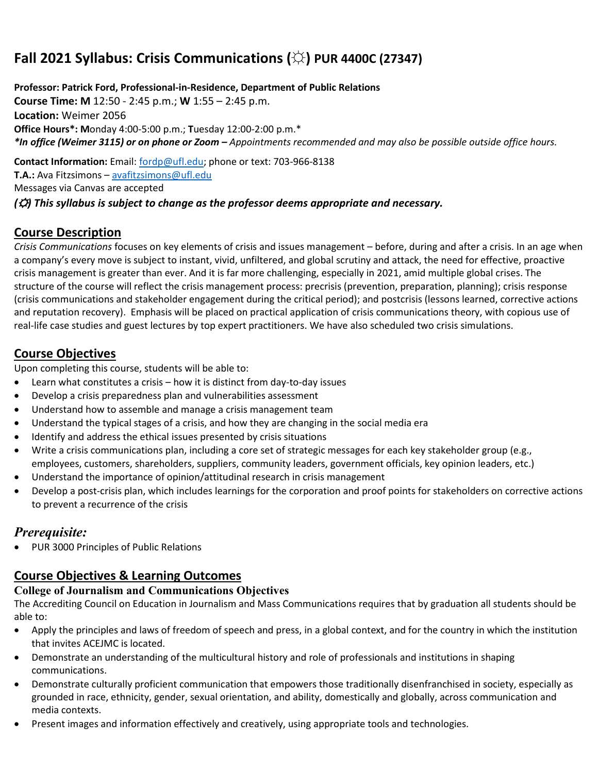# **Fall 2021 Syllabus: Crisis Communications (☼) PUR 4400C (27347)**

**Professor: Patrick Ford, Professional-in-Residence, Department of Public Relations Course Time: M** 12:50 - 2:45 p.m.; **W** 1:55 – 2:45 p.m. **Location:** Weimer 2056 **Office Hours\*: M**onday 4:00-5:00 p.m.; **T**uesday 12:00-2:00 p.m.\* *\*In office (Weimer 3115) or on phone or Zoom – Appointments recommended and may also be possible outside office hours.*

**Contact Information:** Email: [fordp@ufl.edu;](mailto:fordp@ufl.edu) phone or text: 703-966-8138 **T.A.:** Ava Fitzsimons – [avafitzsimons@ufl.edu](mailto:avafitzsimons@ufl.edu) Messages via Canvas are accepted *(*☼*) This syllabus is subject to change as the professor deems appropriate and necessary.*

# **Course Description**

*Crisis Communications* focuses on key elements of crisis and issues management – before, during and after a crisis. In an age when a company's every move is subject to instant, vivid, unfiltered, and global scrutiny and attack, the need for effective, proactive crisis management is greater than ever. And it is far more challenging, especially in 2021, amid multiple global crises. The structure of the course will reflect the crisis management process: precrisis (prevention, preparation, planning); crisis response (crisis communications and stakeholder engagement during the critical period); and postcrisis (lessons learned, corrective actions and reputation recovery). Emphasis will be placed on practical application of crisis communications theory, with copious use of real-life case studies and guest lectures by top expert practitioners. We have also scheduled two crisis simulations.

# **Course Objectives**

Upon completing this course, students will be able to:

- Learn what constitutes a crisis how it is distinct from day-to-day issues
- Develop a crisis preparedness plan and vulnerabilities assessment
- Understand how to assemble and manage a crisis management team
- Understand the typical stages of a crisis, and how they are changing in the social media era
- Identify and address the ethical issues presented by crisis situations
- Write a crisis communications plan, including a core set of strategic messages for each key stakeholder group (e.g., employees, customers, shareholders, suppliers, community leaders, government officials, key opinion leaders, etc.)
- Understand the importance of opinion/attitudinal research in crisis management
- Develop a post-crisis plan, which includes learnings for the corporation and proof points for stakeholders on corrective actions to prevent a recurrence of the crisis

# *Prerequisite:*

• PUR 3000 Principles of Public Relations

# **Course Objectives & Learning Outcomes**

#### **College of Journalism and Communications Objectives**

The Accrediting Council on Education in Journalism and Mass Communications requires that by graduation all students should be able to:

- Apply the principles and laws of freedom of speech and press, in a global context, and for the country in which the institution that invites ACEJMC is located.
- Demonstrate an understanding of the multicultural history and role of professionals and institutions in shaping communications.
- Demonstrate culturally proficient communication that empowers those traditionally disenfranchised in society, especially as grounded in race, ethnicity, gender, sexual orientation, and ability, domestically and globally, across communication and media contexts.
- Present images and information effectively and creatively, using appropriate tools and technologies.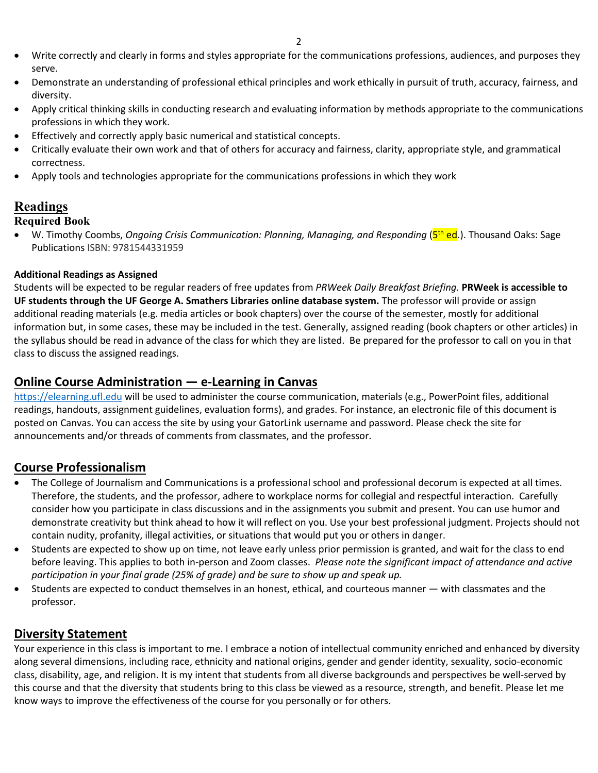- Write correctly and clearly in forms and styles appropriate for the communications professions, audiences, and purposes they serve.
- Demonstrate an understanding of professional ethical principles and work ethically in pursuit of truth, accuracy, fairness, and diversity.
- Apply critical thinking skills in conducting research and evaluating information by methods appropriate to the communications professions in which they work.
- Effectively and correctly apply basic numerical and statistical concepts.
- Critically evaluate their own work and that of others for accuracy and fairness, clarity, appropriate style, and grammatical correctness.
- Apply tools and technologies appropriate for the communications professions in which they work

### **Readings**

#### **Required Book**

W. Timothy Coombs, *Ongoing Crisis Communication: Planning, Managing, and Responding* (5<sup>th</sup> ed.). Thousand Oaks: Sage Publications ISBN: 9781544331959

#### **Additional Readings as Assigned**

Students will be expected to be regular readers of free updates from *PRWeek Daily Breakfast Briefing.* **PRWeek is accessible to UF students through the UF George A. Smathers Libraries online database system.** The professor will provide or assign additional reading materials (e.g. media articles or book chapters) over the course of the semester, mostly for additional information but, in some cases, these may be included in the test. Generally, assigned reading (book chapters or other articles) in the syllabus should be read in advance of the class for which they are listed. Be prepared for the professor to call on you in that class to discuss the assigned readings.

# **Online Course Administration — e-Learning in Canvas**

[https://elearning.ufl.edu](https://elearning.ufl.edu/) will be used to administer the course communication, materials (e.g., PowerPoint files, additional readings, handouts, assignment guidelines, evaluation forms), and grades. For instance, an electronic file of this document is posted on Canvas. You can access the site by using your GatorLink username and password. Please check the site for announcements and/or threads of comments from classmates, and the professor.

#### **Course Professionalism**

- The College of Journalism and Communications is a professional school and professional decorum is expected at all times. Therefore, the students, and the professor, adhere to workplace norms for collegial and respectful interaction. Carefully consider how you participate in class discussions and in the assignments you submit and present. You can use humor and demonstrate creativity but think ahead to how it will reflect on you. Use your best professional judgment. Projects should not contain nudity, profanity, illegal activities, or situations that would put you or others in danger.
- Students are expected to show up on time, not leave early unless prior permission is granted, and wait for the class to end before leaving. This applies to both in-person and Zoom classes. *Please note the significant impact of attendance and active participation in your final grade (25% of grade) and be sure to show up and speak up.*
- Students are expected to conduct themselves in an honest, ethical, and courteous manner with classmates and the professor.

#### **Diversity Statement**

Your experience in this class is important to me. I embrace a notion of intellectual community enriched and enhanced by diversity along several dimensions, including race, ethnicity and national origins, gender and gender identity, sexuality, socio-economic class, disability, age, and religion. It is my intent that students from all diverse backgrounds and perspectives be well-served by this course and that the diversity that students bring to this class be viewed as a resource, strength, and benefit. Please let me know ways to improve the effectiveness of the course for you personally or for others.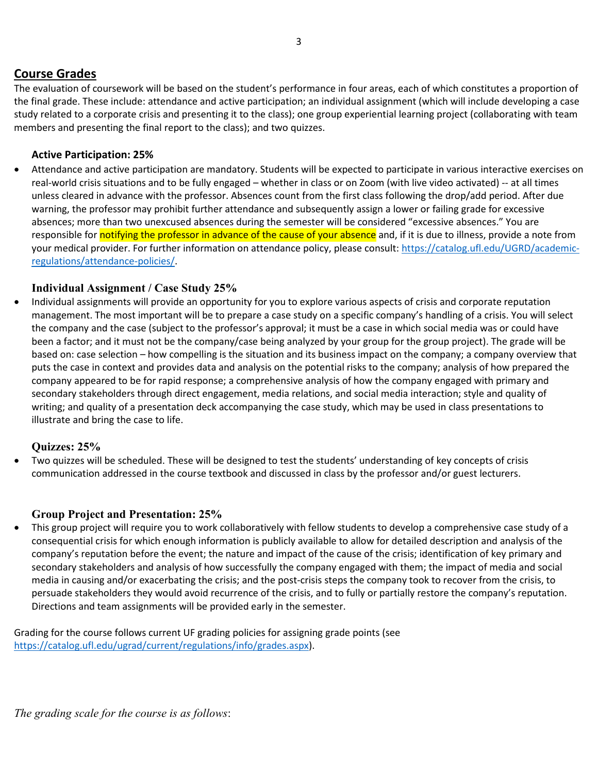### **Course Grades**

The evaluation of coursework will be based on the student's performance in four areas, each of which constitutes a proportion of the final grade. These include: attendance and active participation; an individual assignment (which will include developing a case study related to a corporate crisis and presenting it to the class); one group experiential learning project (collaborating with team members and presenting the final report to the class); and two quizzes.

#### **Active Participation: 25%**

• Attendance and active participation are mandatory. Students will be expected to participate in various interactive exercises on real-world crisis situations and to be fully engaged – whether in class or on Zoom (with live video activated) -- at all times unless cleared in advance with the professor. Absences count from the first class following the drop/add period. After due warning, the professor may prohibit further attendance and subsequently assign a lower or failing grade for excessive absences; more than two unexcused absences during the semester will be considered "excessive absences." You are responsible for notifying the professor in advance of the cause of your absence and, if it is due to illness, provide a note from your medical provider. For further information on attendance policy, please consult: [https://catalog.ufl.edu/UGRD/academic](https://catalog.ufl.edu/UGRD/academic-regulations/attendance-policies/)[regulations/attendance-policies/.](https://catalog.ufl.edu/UGRD/academic-regulations/attendance-policies/)

#### **Individual Assignment / Case Study 25%**

• Individual assignments will provide an opportunity for you to explore various aspects of crisis and corporate reputation management. The most important will be to prepare a case study on a specific company's handling of a crisis. You will select the company and the case (subject to the professor's approval; it must be a case in which social media was or could have been a factor; and it must not be the company/case being analyzed by your group for the group project). The grade will be based on: case selection – how compelling is the situation and its business impact on the company; a company overview that puts the case in context and provides data and analysis on the potential risks to the company; analysis of how prepared the company appeared to be for rapid response; a comprehensive analysis of how the company engaged with primary and secondary stakeholders through direct engagement, media relations, and social media interaction; style and quality of writing; and quality of a presentation deck accompanying the case study, which may be used in class presentations to illustrate and bring the case to life.

#### **Quizzes: 25%**

• Two quizzes will be scheduled. These will be designed to test the students' understanding of key concepts of crisis communication addressed in the course textbook and discussed in class by the professor and/or guest lecturers.

#### **Group Project and Presentation: 25%**

• This group project will require you to work collaboratively with fellow students to develop a comprehensive case study of a consequential crisis for which enough information is publicly available to allow for detailed description and analysis of the company's reputation before the event; the nature and impact of the cause of the crisis; identification of key primary and secondary stakeholders and analysis of how successfully the company engaged with them; the impact of media and social media in causing and/or exacerbating the crisis; and the post-crisis steps the company took to recover from the crisis, to persuade stakeholders they would avoid recurrence of the crisis, and to fully or partially restore the company's reputation. Directions and team assignments will be provided early in the semester.

Grading for the course follows current UF grading policies for assigning grade points (see [https://catalog.ufl.edu/ugrad/current/regulations/info/grades.aspx\)](https://catalog.ufl.edu/ugrad/current/regulations/info/grades.aspx).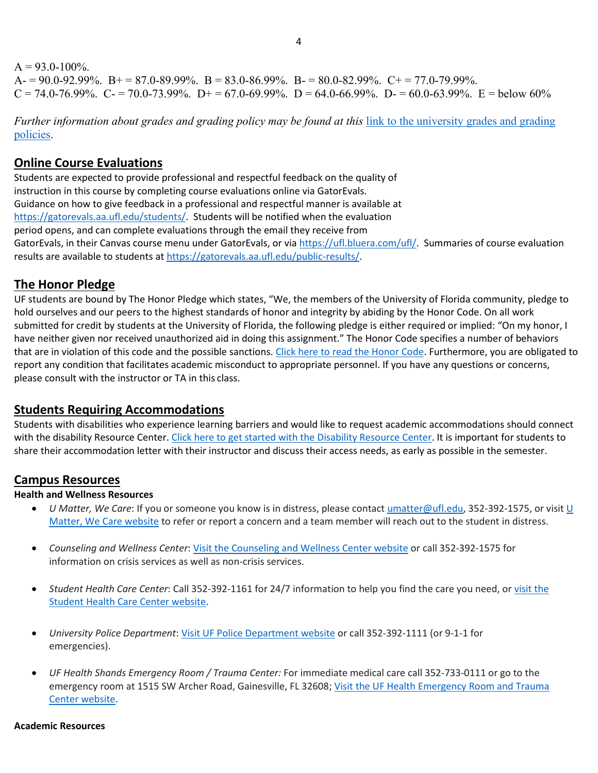#### $A = 93.0 - 100\%$ .  $A = 90.0 - 92.99\%$ .  $B = 87.0 - 89.99\%$ .  $B = 83.0 - 86.99\%$ .  $B = 80.0 - 82.99\%$ .  $C = 77.0 - 79.99\%$ .  $C = 74.0-76.99\%$ .  $C = 70.0-73.99\%$ .  $D = 67.0-69.99\%$ .  $D = 64.0-66.99\%$ .  $D = 60.0-63.99\%$ .  $E =$ below 60%

*Further information about grades and grading policy may be found at this* [link to the university grades and grading](https://catalog.ufl.edu/UGRD/academic-regulations/grades-grading-policies/)  [policies.](https://catalog.ufl.edu/UGRD/academic-regulations/grades-grading-policies/)

# **Online Course Evaluations**

Students are expected to provide professional and respectful feedback on the quality of instruction in this course by completing course evaluations online via GatorEvals. Guidance on how to give feedback in a professional and respectful manner is available at [https://gatorevals.aa.ufl.edu/students/.](https://gatorevals.aa.ufl.edu/students/) Students will be notified when the evaluation period opens, and can complete evaluations through the email they receive from GatorEvals, in their Canvas course menu under GatorEvals, or vi[a https://ufl.bluera.com/ufl/.](https://ufl.bluera.com/ufl/) Summaries of course evaluation results are available to students a[t https://gatorevals.aa.ufl.edu/public-results/.](https://gatorevals.aa.ufl.edu/public-results/)

# **The Honor Pledge**

UF students are bound by The Honor Pledge which states, "We, the members of the University of Florida community, pledge to hold ourselves and our peers to the highest standards of honor and integrity by abiding by the Honor Code. On all work submitted for credit by students at the University of Florida, the following pledge is either required or implied: "On my honor, I have neither given nor received unauthorized aid in doing this assignment." The Honor Code specifies a number of behaviors that are in violation of this code and the possible sanctions. [Click here to read the Honor Code.](https://sccr.dso.ufl.edu/process/student-conduct-code/) Furthermore, you are obligated to report any condition that facilitates academic misconduct to appropriate personnel. If you have any questions or concerns, please consult with the instructor or TA in this class.

# **Students Requiring Accommodations**

Students with disabilities who experience learning barriers and would like to request academic accommodations should connect with the disability Resource Center[. Click here to get started with the Disability Resource Center.](https://disability.ufl.edu/students/get-started/) It is important for students to share their accommodation letter with their instructor and discuss their access needs, as early as possible in the semester.

# **Campus Resources**

#### **Health and Wellness Resources**

- *U Matter, We Care*: If you or someone you know is in distress, please contac[t umatter@ufl.edu, 3](mailto:umatter@ufl.edu)52-392-1575, or visit [U](https://umatter.ufl.edu/)  [Matter, We Care website](https://umatter.ufl.edu/) to refer or report a concern and a team member will reach out to the student in distress.
- *Counseling and Wellness Center*: [Visit the Counseling and Wellness Center website](https://counseling.ufl.edu/) or call 352-392-1575 for information on crisis services as well as non-crisis services.
- *Student Health Care Center*: Call 352-392-1161 for 24/7 information to help you find the care you need, o[r visit the](https://shcc.ufl.edu/)  [Student Health Care Center website.](https://shcc.ufl.edu/)
- *University Police Department*[: Visit UF Police Department website](https://police.ufl.edu/) or call 352-392-1111 (or 9-1-1 for emergencies).
- *UF Health Shands Emergency Room / Trauma Center:* For immediate medical care call 352-733-0111 or go to the emergency room at 1515 SW Archer Road, Gainesville, FL 32608; [Visit the UF Health Emergency Room and Trauma](https://ufhealth.org/emergency-room-trauma-center)  [Center website.](https://ufhealth.org/emergency-room-trauma-center)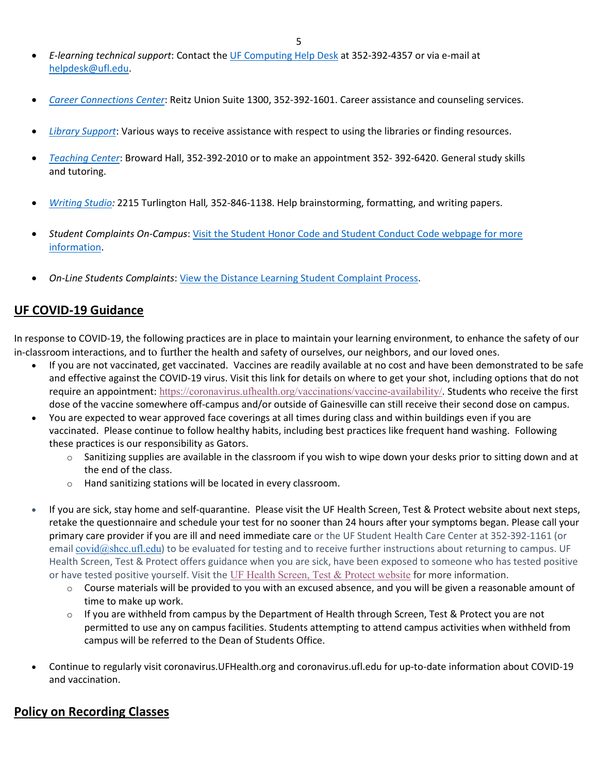- *E-learning technical support*: Contact th[e UF Computing Help Desk](http://helpdesk.ufl.edu/) at 352-392-4357 or via e-mail at [helpdesk@ufl.edu.](mailto:helpdesk@ufl.edu)
- *[Career Connections Center](https://career.ufl.edu/)*: Reitz Union Suite 1300, 352-392-1601. Career assistance and counseling services.
- *[Library Support](https://cms.uflib.ufl.edu/ask)*: Various ways to receive assistance with respect to using the libraries or finding resources.
- *[Teaching Center](https://teachingcenter.ufl.edu/)*: Broward Hall, 352-392-2010 or to make an appointment 352- 392-6420. General study skills and tutoring.
- *Writing Studio:* 2215 Turlington Hall*,* 352-846-1138. Help brainstorming, formatting, and writing papers.
- *Student Complaints On-Campus*: [Visit the Student Honor Code and Student Conduct Code webpage for more](https://sccr.dso.ufl.edu/policies/student-honor-%20code-student-conduct-code/)  [information.](https://sccr.dso.ufl.edu/policies/student-honor-%20code-student-conduct-code/)
- *On-Line Students Complaints*: [View the Distance Learning Student Complaint Process.](https://distance.ufl.edu/getting-help/student-complaint-process/)

### **UF COVID-19 Guidance**

In response to COVID-19, the following practices are in place to maintain your learning environment, to enhance the safety of our in-classroom interactions, and to further the health and safety of ourselves, our neighbors, and our loved ones.

- If you are not vaccinated, get vaccinated. Vaccines are readily available at no cost and have been demonstrated to be safe and effective against the COVID-19 virus. Visit this link for details on where to get your shot, including options that do not require an appointment: <https://coronavirus.ufhealth.org/vaccinations/vaccine-availability/>. Students who receive the first dose of the vaccine somewhere off-campus and/or outside of Gainesville can still receive their second dose on campus.
- You are expected to wear approved face coverings at all times during class and within buildings even if you are vaccinated. Please continue to follow healthy habits, including best practices like frequent hand washing. Following these practices is our responsibility as Gators.
	- $\circ$  Sanitizing supplies are available in the classroom if you wish to wipe down your desks prior to sitting down and at the end of the class.
	- o Hand sanitizing stations will be located in every classroom.
- If you are sick, stay home and self-quarantine. Please visit the UF Health Screen, Test & Protect website about next steps, retake the questionnaire and schedule your test for no sooner than 24 hours after your symptoms began. Please call your primary care provider if you are ill and need immediate care or the UF Student Health Care Center at 352-392-1161 (or email [covid@shcc.ufl.edu](mailto:covid@shcc.ufl.edu)) to be evaluated for testing and to receive further instructions about returning to campus. UF Health Screen, Test & Protect offers guidance when you are sick, have been exposed to someone who has tested positive or have tested positive yourself. Visit the [UF Health Screen, Test & Protect website](https://click.info.gator360.ufl.edu/?qs=8f0d5e01a3f7385148f144e2089093522a358a8d85cb9db73c31675d3c5e5c0d27748d40c212f544822551342f1912ea5b4f2b890d5952e8) for more information.
	- $\circ$  Course materials will be provided to you with an excused absence, and you will be given a reasonable amount of time to make up work.
	- $\circ$  If you are withheld from campus by the Department of Health through Screen, Test & Protect you are not permitted to use any on campus facilities. Students attempting to attend campus activities when withheld from campus will be referred to the Dean of Students Office.
- Continue to regularly visit coronavirus.UFHealth.org and coronavirus.ufl.edu for up-to-date information about COVID-19 and vaccination.

# **Policy on Recording Classes**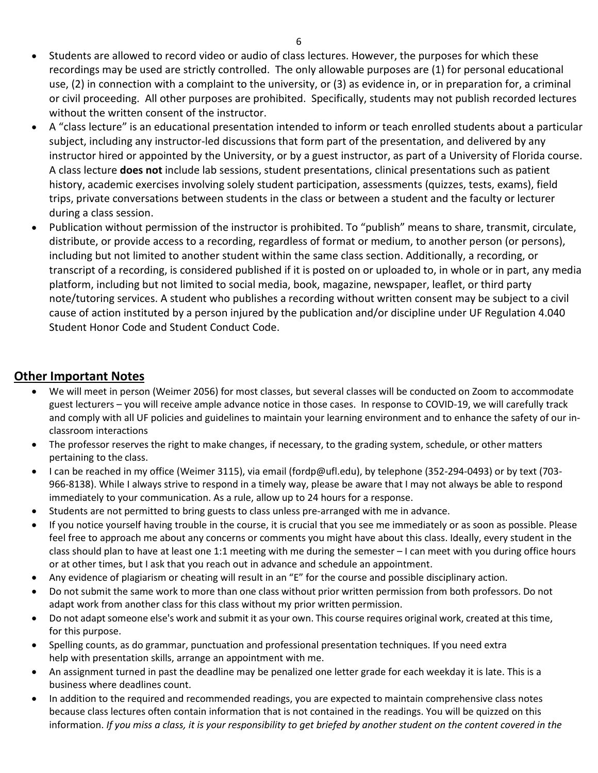- Students are allowed to record video or audio of class lectures. However, the purposes for which these recordings may be used are strictly controlled. The only allowable purposes are (1) for personal educational use, (2) in connection with a complaint to the university, or (3) as evidence in, or in preparation for, a criminal or civil proceeding. All other purposes are prohibited. Specifically, students may not publish recorded lectures without the written consent of the instructor.
- A "class lecture" is an educational presentation intended to inform or teach enrolled students about a particular subject, including any instructor-led discussions that form part of the presentation, and delivered by any instructor hired or appointed by the University, or by a guest instructor, as part of a University of Florida course. A class lecture **does not** include lab sessions, student presentations, clinical presentations such as patient history, academic exercises involving solely student participation, assessments (quizzes, tests, exams), field trips, private conversations between students in the class or between a student and the faculty or lecturer during a class session.
- Publication without permission of the instructor is prohibited. To "publish" means to share, transmit, circulate, distribute, or provide access to a recording, regardless of format or medium, to another person (or persons), including but not limited to another student within the same class section. Additionally, a recording, or transcript of a recording, is considered published if it is posted on or uploaded to, in whole or in part, any media platform, including but not limited to social media, book, magazine, newspaper, leaflet, or third party note/tutoring services. A student who publishes a recording without written consent may be subject to a civil cause of action instituted by a person injured by the publication and/or discipline under UF Regulation 4.040 Student Honor Code and Student Conduct Code.

# **Other Important Notes**

- We will meet in person (Weimer 2056) for most classes, but several classes will be conducted on Zoom to accommodate guest lecturers – you will receive ample advance notice in those cases. In response to COVID-19, we will carefully track and comply with all UF policies and guidelines to maintain your learning environment and to enhance the safety of our inclassroom interactions
- The professor reserves the right to make changes, if necessary, to the grading system, schedule, or other matters pertaining to the class.
- I can be reached in my office (Weimer 3115), via email (fordp@ufl.edu), by telephone (352-294-0493) or by text (703- 966-8138). While I always strive to respond in a timely way, please be aware that I may not always be able to respond immediately to your communication. As a rule, allow up to 24 hours for a response.
- Students are not permitted to bring guests to class unless pre-arranged with me in advance.
- If you notice yourself having trouble in the course, it is crucial that you see me immediately or as soon as possible. Please feel free to approach me about any concerns or comments you might have about this class. Ideally, every student in the class should plan to have at least one 1:1 meeting with me during the semester – I can meet with you during office hours or at other times, but I ask that you reach out in advance and schedule an appointment.
- Any evidence of plagiarism or cheating will result in an "E" for the course and possible disciplinary action.
- Do not submit the same work to more than one class without prior written permission from both professors. Do not adapt work from another class for this class without my prior written permission.
- Do not adapt someone else's work and submit it as your own. This course requires original work, created at this time, for this purpose.
- Spelling counts, as do grammar, punctuation and professional presentation techniques. If you need extra help with presentation skills, arrange an appointment with me.
- An assignment turned in past the deadline may be penalized one letter grade for each weekday it is late. This is a business where deadlines count.
- In addition to the required and recommended readings, you are expected to maintain comprehensive class notes because class lectures often contain information that is not contained in the readings. You will be quizzed on this information. *If you miss a class, it is your responsibility to get briefed by another student on the content covered in the*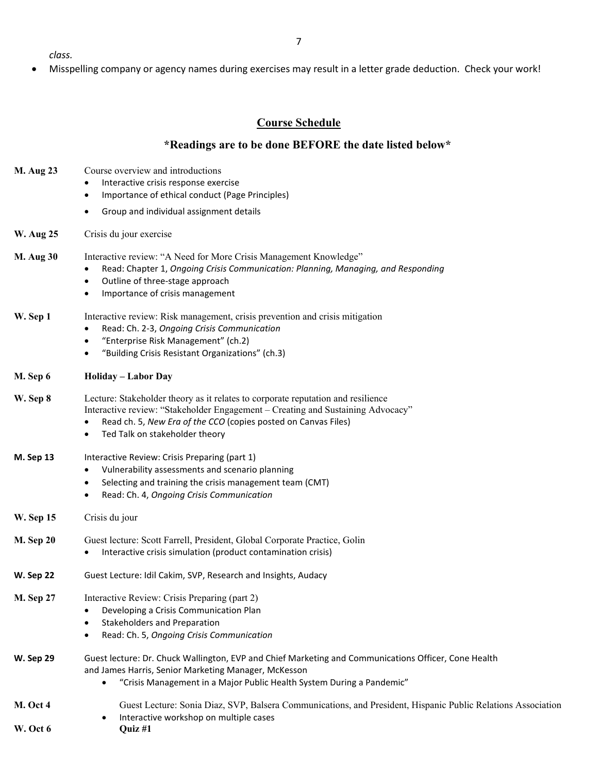7

*class.*

• Misspelling company or agency names during exercises may result in a letter grade deduction. Check your work!

#### **Course Schedule**

#### **\*Readings are to be done BEFORE the date listed below\***

- **M. Aug 23** Course overview and introductions
	- Interactive crisis response exercise
	- Importance of ethical conduct (Page Principles)
	- Group and individual assignment details
- **W. Aug 25** Crisis du jour exercise
- **M. Aug 30** Interactive review: "A Need for More Crisis Management Knowledge" • Read: Chapter 1, *Ongoing Crisis Communication: Planning, Managing, and Responding*
	- - Outline of three-stage approach
		- Importance of crisis management
- **W. Sep 1** Interactive review: Risk management, crisis prevention and crisis mitigation
	- Read: Ch. 2-3, *Ongoing Crisis Communication*
	- "Enterprise Risk Management" (ch.2)
	- "Building Crisis Resistant Organizations" (ch.3)
- **M. Sep 6 Holiday – Labor Day**
- **W. Sep 8** Lecture: Stakeholder theory as it relates to corporate reputation and resilience Interactive review: "Stakeholder Engagement – Creating and Sustaining Advocacy"
	- Read ch. 5, *New Era of the CCO* (copies posted on Canvas Files)
	- Ted Talk on stakeholder theory
- **M. Sep 13** Interactive Review: Crisis Preparing (part 1)
	- Vulnerability assessments and scenario planning
	- Selecting and training the crisis management team (CMT)
	- Read: Ch. 4, *Ongoing Crisis Communication*
- **W. Sep 15** Crisis du jour
- **M. Sep 20** Guest lecture: Scott Farrell, President, Global Corporate Practice, Golin
	- Interactive crisis simulation (product contamination crisis)
- **W. Sep 22** Guest Lecture: Idil Cakim, SVP, Research and Insights, Audacy
- **M. Sep 27** Interactive Review: Crisis Preparing (part 2)
	- Developing a Crisis Communication Plan
	- Stakeholders and Preparation
	- Read: Ch. 5, *Ongoing Crisis Communication*
- **W. Sep 29** Guest lecture: Dr. Chuck Wallington, EVP and Chief Marketing and Communications Officer, Cone Health and James Harris, Senior Marketing Manager, McKesson • "Crisis Management in a Major Public Health System During a Pandemic"
- **M. Oct 4** Guest Lecture: Sonia Diaz, SVP, Balsera Communications, and President, Hispanic Public Relations Association • Interactive workshop on multiple cases **W. Oct 6 Quiz #1**